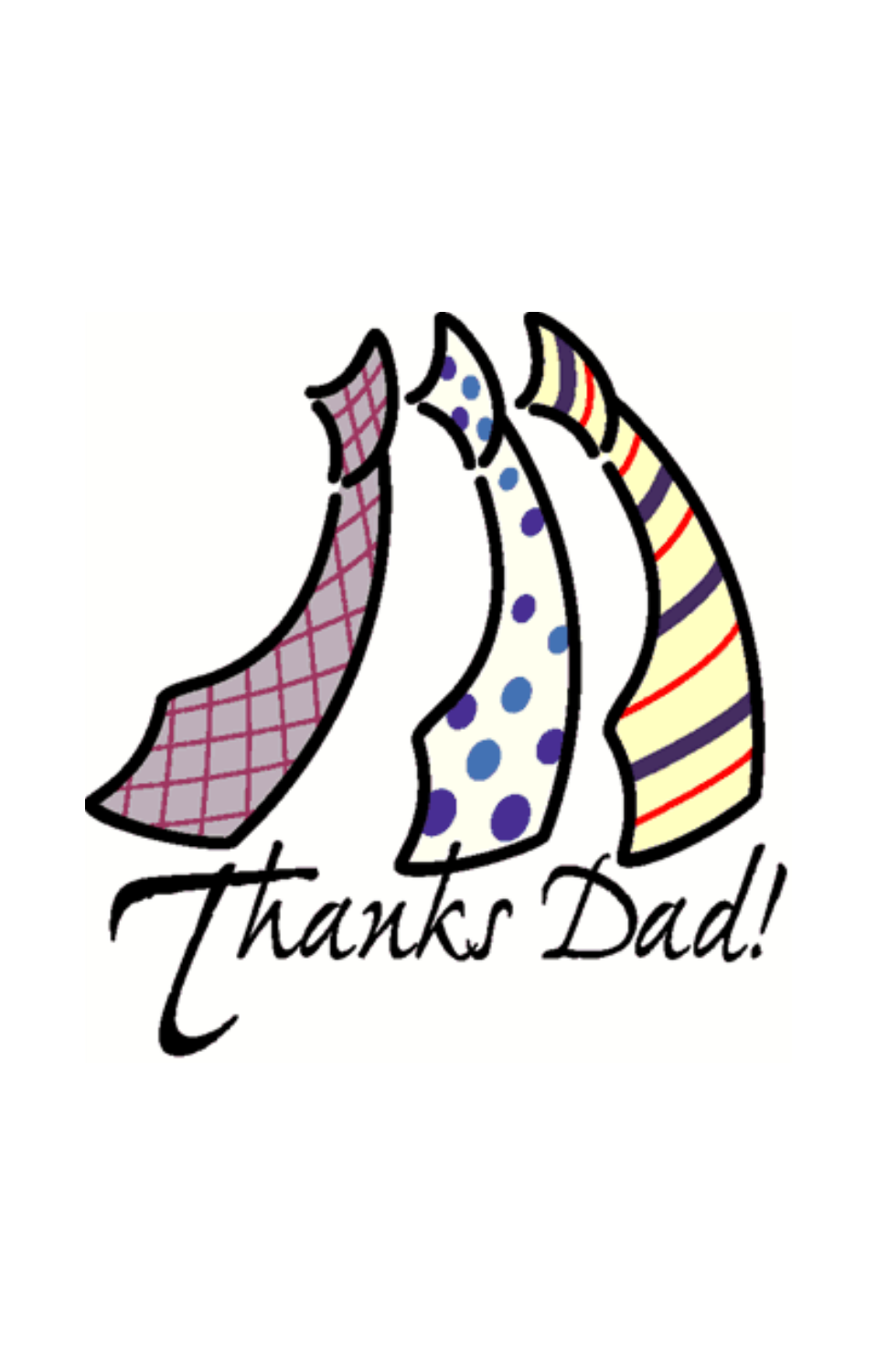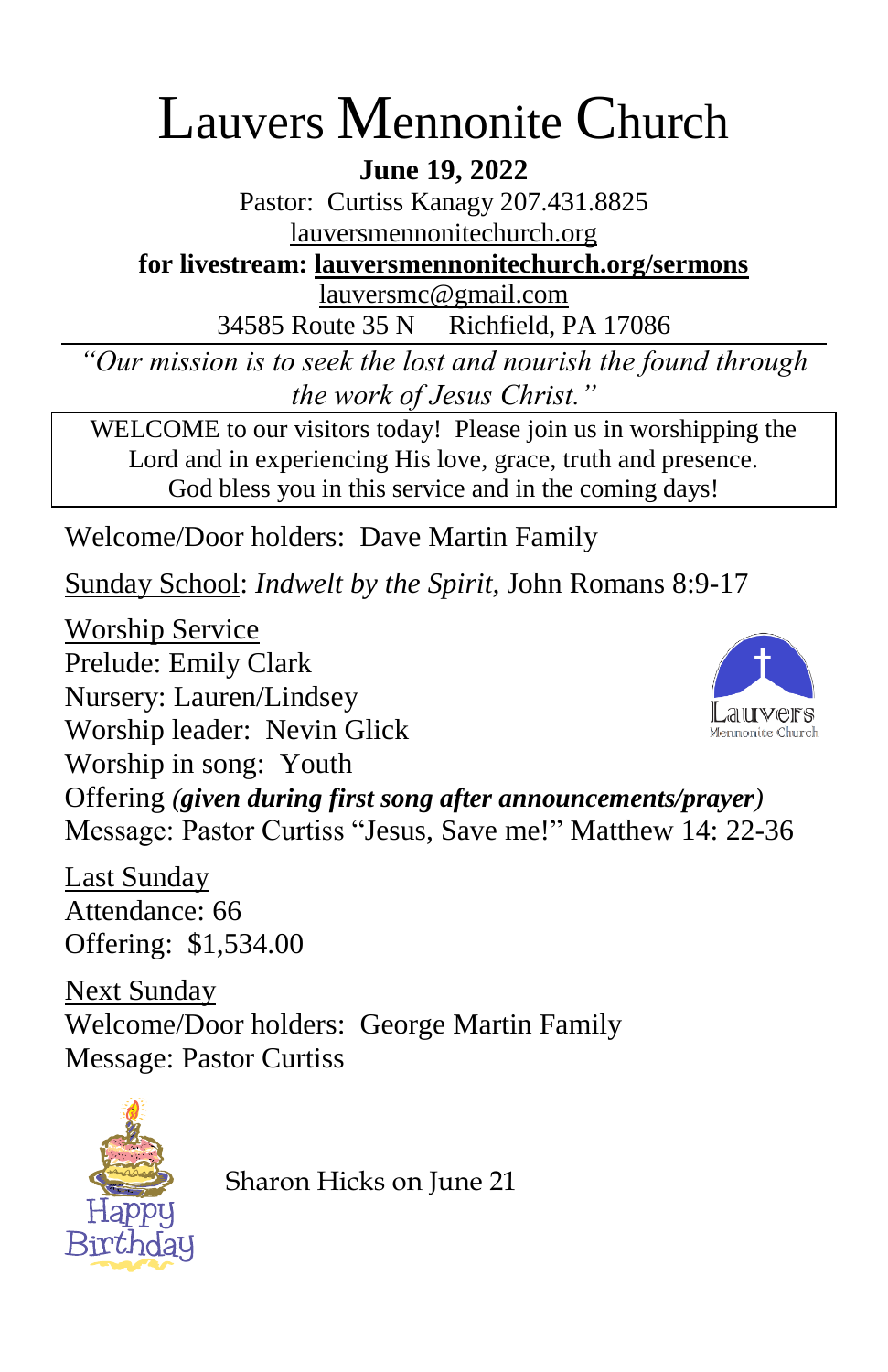# Lauvers Mennonite Church

**June 19, 2022**

Pastor: Curtiss Kanagy 207.431.8825 [lauversmennonitechurch.org](http://www.lauversmennonitechurch.org/)

**for livestream: lauversmennonitechurch.org/sermons**

[lauversmc@gmail.com](mailto:lauversmc@gmail.com)

34585 Route 35 N Richfield, PA 17086

*"Our mission is to seek the lost and nourish the found through the work of Jesus Christ."*

WELCOME to our visitors today! Please join us in worshipping the Lord and in experiencing His love, grace, truth and presence. God bless you in this service and in the coming days!

Welcome/Door holders: Dave Martin Family

Sunday School: *Indwelt by the Spirit,* John Romans 8:9-17

Worship Service Prelude: Emily Clark Nursery: Lauren/Lindsey Worship leader: Nevin Glick Worship in song: Youth Offering *(given during first song after announcements/prayer)* Message: Pastor Curtiss "Jesus, Save me!" Matthew 14: 22-36

Last Sunday Attendance: 66 Offering: \$1,534.00

Next Sunday Welcome/Door holders: George Martin Family Message: Pastor Curtiss



Sharon Hicks on June 21

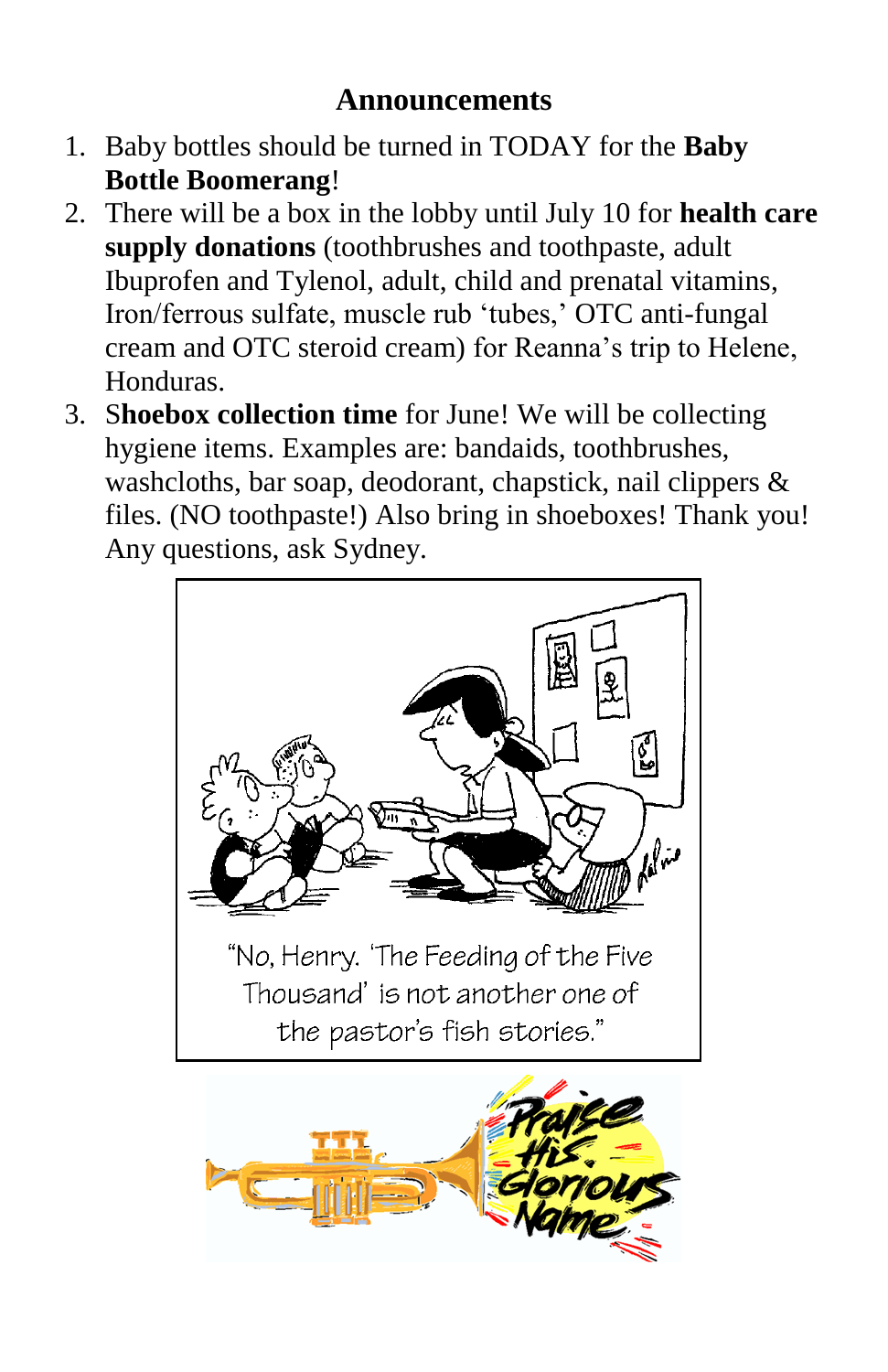### **Announcements**

- 1. Baby bottles should be turned in TODAY for the **Baby Bottle Boomerang**!
- 2. There will be a box in the lobby until July 10 for **health care supply donations** (toothbrushes and toothpaste, adult Ibuprofen and Tylenol, adult, child and prenatal vitamins, Iron/ferrous sulfate, muscle rub 'tubes,' OTC anti-fungal cream and OTC steroid cream) for Reanna's trip to Helene, Honduras.
- 3. S**hoebox collection time** for June! We will be collecting hygiene items. Examples are: bandaids, toothbrushes, washcloths, bar soap, deodorant, chapstick, nail clippers & files. (NO toothpaste!) Also bring in shoeboxes! Thank you! Any questions, ask Sydney.



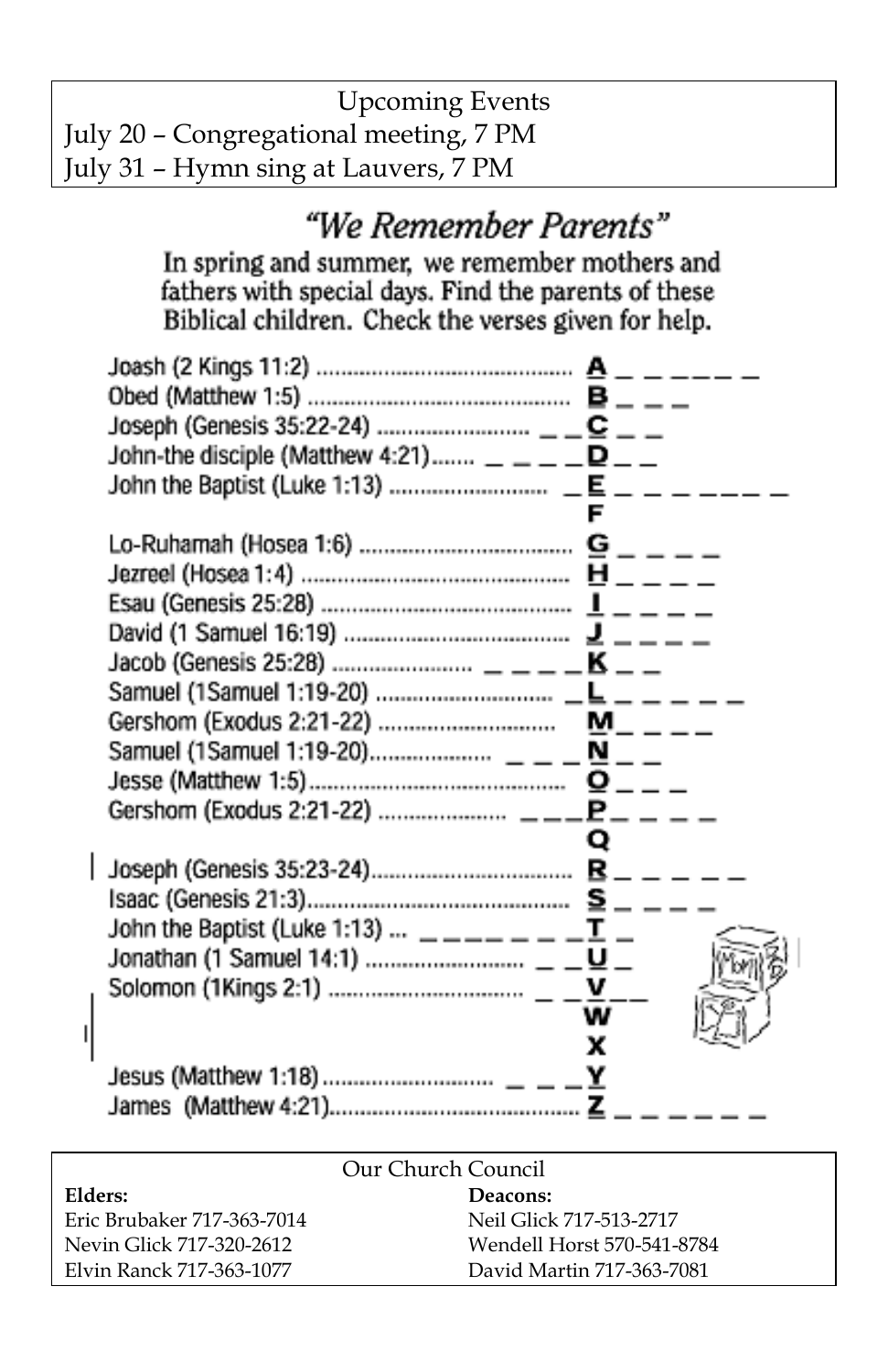| <b>Upcoming Events</b>                 |  |
|----------------------------------------|--|
| July 20 – Congregational meeting, 7 PM |  |
| July 31 – Hymn sing at Lauvers, 7 PM   |  |

## "We Remember Parents"

In spring and summer, we remember mothers and<br>fathers with special days. Find the parents of these<br>Biblical children. Check the verses given for help.

| John-the disciple (Matthew 4:21) $- -    -$ |   |  |  |
|---------------------------------------------|---|--|--|
|                                             |   |  |  |
|                                             |   |  |  |
|                                             |   |  |  |
|                                             |   |  |  |
|                                             |   |  |  |
|                                             |   |  |  |
|                                             |   |  |  |
|                                             |   |  |  |
|                                             |   |  |  |
|                                             |   |  |  |
|                                             | Q |  |  |
|                                             |   |  |  |
|                                             |   |  |  |
|                                             |   |  |  |
|                                             |   |  |  |
|                                             |   |  |  |
|                                             |   |  |  |
|                                             | x |  |  |
|                                             |   |  |  |
|                                             |   |  |  |

| Our Church Council         |                            |  |  |  |
|----------------------------|----------------------------|--|--|--|
| Elders:                    | Deacons:                   |  |  |  |
| Eric Brubaker 717-363-7014 | Neil Glick 717-513-2717    |  |  |  |
| Nevin Glick 717-320-2612   | Wendell Horst 570-541-8784 |  |  |  |
| Elvin Ranck 717-363-1077   | David Martin 717-363-7081  |  |  |  |

 $\mathbf{I}$